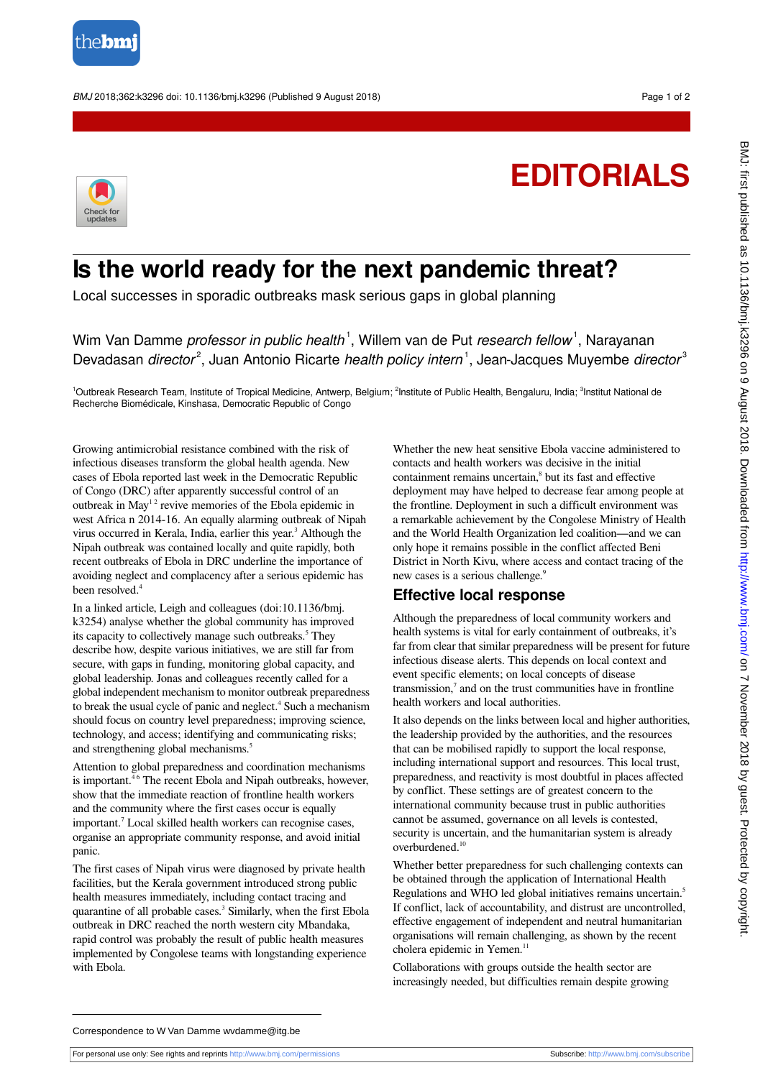

BMJ 2018;362:k3296 doi: 10.1136/bmj.k3296 (Published 9 August 2018) Page 1 of 2

## **EDITORIALS**



## **Is the world ready for the next pandemic threat?**

Local successes in sporadic outbreaks mask serious gaps in global planning

Wim Van Damme professor in public health<sup>1</sup>, Willem van de Put research fellow<sup>1</sup>, Narayanan Devadasan director<sup>2</sup>, Juan Antonio Ricarte health policy intern<sup>1</sup>, Jean-Jacques Muyembe director<sup>3</sup>

<sup>1</sup>Outbreak Research Team, Institute of Tropical Medicine, Antwerp, Belgium; <sup>2</sup>Institute of Public Health, Bengaluru, India; <sup>3</sup>Institut National de Recherche Biomédicale, Kinshasa, Democratic Republic of Congo

Growing antimicrobial resistance combined with the risk of infectious diseases transform the global health agenda. New cases of Ebola reported last week in the Democratic Republic of Congo (DRC) after apparently successful control of an outbreak in  $May<sup>12</sup>$  revive memories of the Ebola epidemic in west Africa n 2014-16. An equally alarming outbreak of Nipah virus occurred in Kerala, India, earlier this year.<sup>3</sup> Although the Nipah outbreak was contained locally and quite rapidly, both recent outbreaks of Ebola in DRC underline the importance of avoiding neglect and complacency after a serious epidemic has been resolved.<sup>4</sup>

In a linked article, Leigh and colleagues (doi:10.1136/bmj. k3254) analyse whether the global community has improved its capacity to collectively manage such outbreaks.<sup>5</sup> They describe how, despite various initiatives, we are still far from secure, with gaps in funding, monitoring global capacity, and global leadership. Jonas and colleagues recently called for a global independent mechanism to monitor outbreak preparedness to break the usual cycle of panic and neglect.<sup>4</sup> Such a mechanism should focus on country level preparedness; improving science, technology, and access; identifying and communicating risks; and strengthening global mechanisms.<sup>5</sup>

Attention to global preparedness and coordination mechanisms is important.<sup>46</sup> The recent Ebola and Nipah outbreaks, however, show that the immediate reaction of frontline health workers and the community where the first cases occur is equally important.<sup>7</sup> Local skilled health workers can recognise cases, organise an appropriate community response, and avoid initial panic.

The first cases of Nipah virus were diagnosed by private health facilities, but the Kerala government introduced strong public health measures immediately, including contact tracing and quarantine of all probable cases.<sup>3</sup> Similarly, when the first Ebola outbreak in DRC reached the north western city Mbandaka, rapid control was probably the result of public health measures implemented by Congolese teams with longstanding experience with Ebola.

Whether the new heat sensitive Ebola vaccine administered to contacts and health workers was decisive in the initial containment remains uncertain,<sup>8</sup> but its fast and effective deployment may have helped to decrease fear among people at the frontline. Deployment in such a difficult environment was a remarkable achievement by the Congolese Ministry of Health and the World Health Organization led coalition—and we can only hope it remains possible in the conflict affected Beni District in North Kivu, where access and contact tracing of the new cases is a serious challenge.<sup>9</sup>

## **Effective local response**

Although the preparedness of local community workers and health systems is vital for early containment of outbreaks, it's far from clear that similar preparedness will be present for future infectious disease alerts. This depends on local context and event specific elements; on local concepts of disease transmission, $7$  and on the trust communities have in frontline health workers and local authorities.

It also depends on the links between local and higher authorities, the leadership provided by the authorities, and the resources that can be mobilised rapidly to support the local response, including international support and resources. This local trust, preparedness, and reactivity is most doubtful in places affected by conflict. These settings are of greatest concern to the international community because trust in public authorities cannot be assumed, governance on all levels is contested, security is uncertain, and the humanitarian system is already overburdened.<sup>10</sup>

Whether better preparedness for such challenging contexts can be obtained through the application of International Health Regulations and WHO led global initiatives remains uncertain.<sup>5</sup> If conflict, lack of accountability, and distrust are uncontrolled, effective engagement of independent and neutral humanitarian organisations will remain challenging, as shown by the recent cholera epidemic in Yemen.<sup>11</sup>

Collaborations with groups outside the health sector are increasingly needed, but difficulties remain despite growing